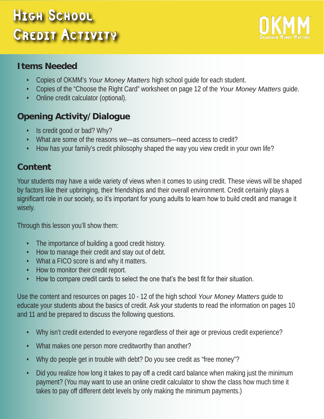# HIGH SCHOOL CREDIT ACTIVITY



#### **Items Needed**

- Copies of OKMM's *Your Money Matters* high school guide for each student.
- Copies of the "Choose the Right Card" worksheet on page 12 of the *Your Money Matters* guide.
- Online credit calculator (optional).

## **Opening Activity/Dialogue**

- Is credit good or bad? Why?
- What are some of the reasons we—as consumers—need access to credit?
- How has your family's credit philosophy shaped the way you view credit in your own life?

#### **Content**

Your students may have a wide variety of views when it comes to using credit. These views will be shaped by factors like their upbringing, their friendships and their overall environment. Credit certainly plays a significant role in our society, so it's important for young adults to learn how to build credit and manage it wisely.

Through this lesson you'll show them:

- The importance of building a good credit history.
- How to manage their credit and stay out of debt.
- What a FICO score is and why it matters.
- How to monitor their credit report.
- How to compare credit cards to select the one that's the best fit for their situation.

Use the content and resources on pages 10 - 12 of the high school *Your Money Matters* guide to educate your students about the basics of credit. Ask your students to read the information on pages 10 and 11 and be prepared to discuss the following questions.

- Why isn't credit extended to everyone regardless of their age or previous credit experience?
- What makes one person more creditworthy than another?
- Why do people get in trouble with debt? Do you see credit as "free money"?
- Did you realize how long it takes to pay off a credit card balance when making just the minimum payment? (You may want to use an online credit calculator to show the class how much time it takes to pay off different debt levels by only making the minimum payments.)